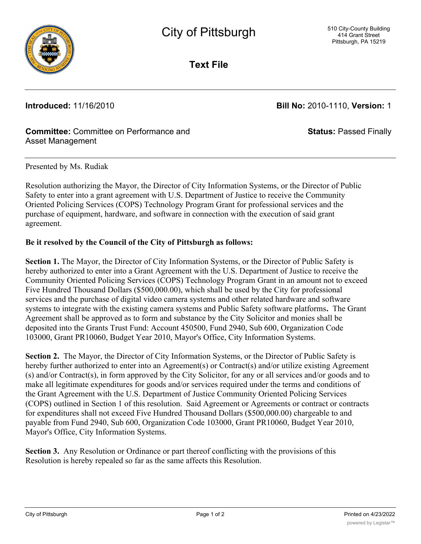

**Text File**

**Introduced:** 11/16/2010 **Bill No:** 2010-1110, **Version:** 1

**Status:** Passed Finally

# **Committee:** Committee on Performance and Asset Management

## Presented by Ms. Rudiak

Resolution authorizing the Mayor, the Director of City Information Systems, or the Director of Public Safety to enter into a grant agreement with U.S. Department of Justice to receive the Community Oriented Policing Services (COPS) Technology Program Grant for professional services and the purchase of equipment, hardware, and software in connection with the execution of said grant agreement.

## **Be it resolved by the Council of the City of Pittsburgh as follows:**

**Section 1.** The Mayor, the Director of City Information Systems, or the Director of Public Safety is hereby authorized to enter into a Grant Agreement with the U.S. Department of Justice to receive the Community Oriented Policing Services (COPS) Technology Program Grant in an amount not to exceed Five Hundred Thousand Dollars (\$500,000.00), which shall be used by the City for professional services and the purchase of digital video camera systems and other related hardware and software systems to integrate with the existing camera systems and Public Safety software platforms**.** The Grant Agreement shall be approved as to form and substance by the City Solicitor and monies shall be deposited into the Grants Trust Fund: Account 450500, Fund 2940, Sub 600, Organization Code 103000, Grant PR10060, Budget Year 2010, Mayor's Office, City Information Systems.

**Section 2.** The Mayor, the Director of City Information Systems, or the Director of Public Safety is hereby further authorized to enter into an Agreement(s) or Contract(s) and/or utilize existing Agreement (s) and/or Contract(s), in form approved by the City Solicitor, for any or all services and/or goods and to make all legitimate expenditures for goods and/or services required under the terms and conditions of the Grant Agreement with the U.S. Department of Justice Community Oriented Policing Services (COPS) outlined in Section 1 of this resolution. Said Agreement or Agreements or contract or contracts for expenditures shall not exceed Five Hundred Thousand Dollars (\$500,000.00) chargeable to and payable from Fund 2940, Sub 600, Organization Code 103000, Grant PR10060, Budget Year 2010, Mayor's Office, City Information Systems.

**Section 3.** Any Resolution or Ordinance or part thereof conflicting with the provisions of this Resolution is hereby repealed so far as the same affects this Resolution.